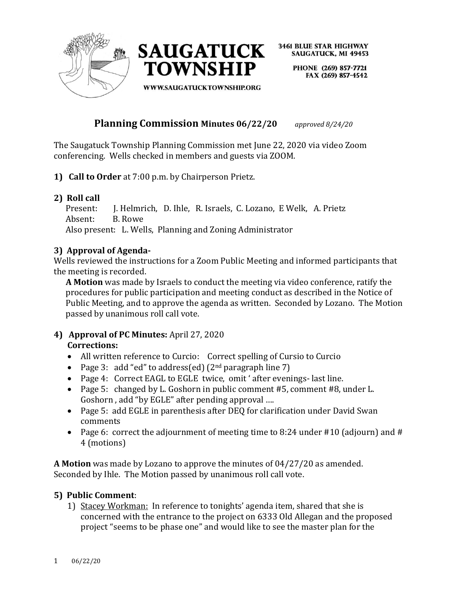



> PHONE (269) 857-7721 FAX (269) 857-4542

**WWW.SAUGATUCKTOWNSHIP.ORG** 

# **Planning Commission Minutes 06/22/20** *approved 8/24/20*

The Saugatuck Township Planning Commission met June 22, 2020 via video Zoom conferencing. Wells checked in members and guests via ZOOM.

**1) Call to Order** at 7:00 p.m. by Chairperson Prietz.

## **2) Roll call**

 Present: J. Helmrich, D. Ihle, R. Israels, C. Lozano, E Welk, A. Prietz Absent: B. Rowe

Also present: L. Wells, Planning and Zoning Administrator

### **3) Approval of Agenda-**

Wells reviewed the instructions for a Zoom Public Meeting and informed participants that the meeting is recorded.

**A Motion** was made by Israels to conduct the meeting via video conference, ratify the procedures for public participation and meeting conduct as described in the Notice of Public Meeting, and to approve the agenda as written. Seconded by Lozano. The Motion passed by unanimous roll call vote.

#### **4) Approval of PC Minutes:** April 27, 2020 **Corrections:**

- All written reference to Curcio: Correct spelling of Cursio to Curcio
- Page 3: add "ed" to address(ed)  $(2^{nd}$  paragraph line 7)
- Page 4: Correct EAGL to EGLE twice, omit ' after evenings- last line.
- Page 5: changed by L. Goshorn in public comment #5, comment #8, under L. Goshorn , add "by EGLE" after pending approval ….
- Page 5: add EGLE in parenthesis after DEQ for clarification under David Swan comments
- Page 6: correct the adjournment of meeting time to 8:24 under #10 (adjourn) and # 4 (motions)

**A Motion** was made by Lozano to approve the minutes of 04/27/20 as amended. Seconded by Ihle. The Motion passed by unanimous roll call vote.

### **5) Public Comment**:

1) Stacey Workman: In reference to tonights' agenda item, shared that she is concerned with the entrance to the project on 6333 Old Allegan and the proposed project "seems to be phase one" and would like to see the master plan for the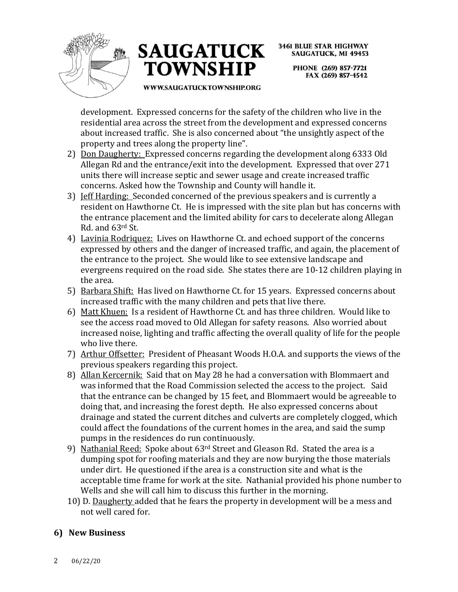



> PHONE (269) 857-7721 FAX (269) 857-4542

WWW.SAUGATUCKTOWNSHIP.ORG

development. Expressed concerns for the safety of the children who live in the residential area across the street from the development and expressed concerns about increased traffic. She is also concerned about "the unsightly aspect of the property and trees along the property line".

- 2) Don Daugherty: Expressed concerns regarding the development along 6333 Old Allegan Rd and the entrance/exit into the development. Expressed that over 271 units there will increase septic and sewer usage and create increased traffic concerns. Asked how the Township and County will handle it.
- 3) Jeff Harding: Seconded concerned of the previous speakers and is currently a resident on Hawthorne Ct. He is impressed with the site plan but has concerns with the entrance placement and the limited ability for cars to decelerate along Allegan Rd. and 63rd St.
- 4) Lavinia Rodriquez: Lives on Hawthorne Ct. and echoed support of the concerns expressed by others and the danger of increased traffic, and again, the placement of the entrance to the project. She would like to see extensive landscape and evergreens required on the road side. She states there are 10-12 children playing in the area.
- 5) Barbara Shift: Has lived on Hawthorne Ct. for 15 years. Expressed concerns about increased traffic with the many children and pets that live there.
- 6) Matt Khuen: Is a resident of Hawthorne Ct. and has three children. Would like to see the access road moved to Old Allegan for safety reasons. Also worried about increased noise, lighting and traffic affecting the overall quality of life for the people who live there.
- 7) Arthur Offsetter: President of Pheasant Woods H.O.A. and supports the views of the previous speakers regarding this project.
- 8) Allan Kercernik: Said that on May 28 he had a conversation with Blommaert and was informed that the Road Commission selected the access to the project. Said that the entrance can be changed by 15 feet, and Blommaert would be agreeable to doing that, and increasing the forest depth. He also expressed concerns about drainage and stated the current ditches and culverts are completely clogged, which could affect the foundations of the current homes in the area, and said the sump pumps in the residences do run continuously.
- 9) Nathanial Reed: Spoke about 63rd Street and Gleason Rd. Stated the area is a dumping spot for roofing materials and they are now burying the those materials under dirt. He questioned if the area is a construction site and what is the acceptable time frame for work at the site. Nathanial provided his phone number to Wells and she will call him to discuss this further in the morning.
- 10) D. Daugherty added that he fears the property in development will be a mess and not well cared for.

## **6) New Business**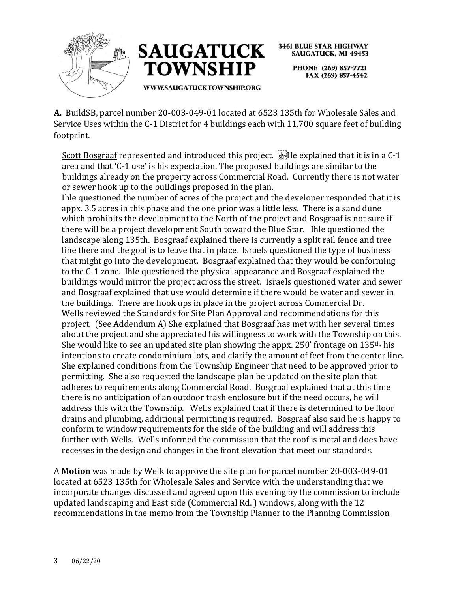



> PHONE (269) 857-7721 FAX (269) 857-4542

**A.** BuildSB, parcel number 20-003-049-01 located at 6523 135th for Wholesale Sales and Service Uses within the C-1 District for 4 buildings each with 11,700 square feet of building footprint.

Scott Bosgraaf represented and introduced this project.  $\lim_{s\to s}He$  explained that it is in a C-1 area and that 'C-1 use' is his expectation. The proposed buildings are similar to the buildings already on the property across Commercial Road. Currently there is not water or sewer hook up to the buildings proposed in the plan.

Ihle questioned the number of acres of the project and the developer responded that it is appx. 3.5 acres in this phase and the one prior was a little less. There is a sand dune which prohibits the development to the North of the project and Bosgraaf is not sure if there will be a project development South toward the Blue Star. Ihle questioned the landscape along 135th. Bosgraaf explained there is currently a split rail fence and tree line there and the goal is to leave that in place. Israels questioned the type of business that might go into the development. Bosgraaf explained that they would be conforming to the C-1 zone. Ihle questioned the physical appearance and Bosgraaf explained the buildings would mirror the project across the street. Israels questioned water and sewer and Bosgraaf explained that use would determine if there would be water and sewer in the buildings. There are hook ups in place in the project across Commercial Dr. Wells reviewed the Standards for Site Plan Approval and recommendations for this project. (See Addendum A) She explained that Bosgraaf has met with her several times about the project and she appreciated his willingness to work with the Township on this. She would like to see an updated site plan showing the appx. 250' frontage on 135th, his intentions to create condominium lots, and clarify the amount of feet from the center line. She explained conditions from the Township Engineer that need to be approved prior to permitting. She also requested the landscape plan be updated on the site plan that adheres to requirements along Commercial Road. Bosgraaf explained that at this time there is no anticipation of an outdoor trash enclosure but if the need occurs, he will address this with the Township. Wells explained that if there is determined to be floor drains and plumbing, additional permitting is required. Bosgraaf also said he is happy to conform to window requirements for the side of the building and will address this further with Wells. Wells informed the commission that the roof is metal and does have recesses in the design and changes in the front elevation that meet our standards.

A **Motion** was made by Welk to approve the site plan for parcel number 20-003-049-01 located at 6523 135th for Wholesale Sales and Service with the understanding that we incorporate changes discussed and agreed upon this evening by the commission to include updated landscaping and East side (Commercial Rd. ) windows, along with the 12 recommendations in the memo from the Township Planner to the Planning Commission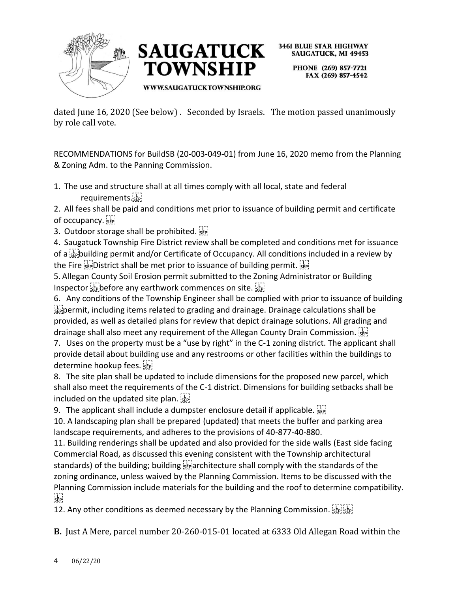



> PHONE (269) 857-7721 FAX (269) 857-4542

**WWW.SAUGATUCKTOWNSHIP.ORG** 

dated June 16, 2020 (See below) . Seconded by Israels. The motion passed unanimously by role call vote.

RECOMMENDATIONS for BuildSB (20-003-049-01) from June 16, 2020 memo from the Planning & Zoning Adm. to the Panning Commission.

1. The use and structure shall at all times comply with all local, state and federal requirements.

2. All fees shall be paid and conditions met prior to issuance of building permit and certificate of occupancy.

3. Outdoor storage shall be prohibited.

4. Saugatuck Township Fire District review shall be completed and conditions met for issuance of a  $\frac{1}{2}$  building permit and/or Certificate of Occupancy. All conditions included in a review by the Fire step District shall be met prior to issuance of building permit. Step

5. Allegan County Soil Erosion permit submitted to the Zoning Administrator or Building Inspector see before any earthwork commences on site.

6. Any conditions of the Township Engineer shall be complied with prior to issuance of building  $\frac{1}{2}$  permit, including items related to grading and drainage. Drainage calculations shall be provided, as well as detailed plans for review that depict drainage solutions. All grading and drainage shall also meet any requirement of the Allegan County Drain Commission.

7. Uses on the property must be a "use by right" in the C-1 zoning district. The applicant shall provide detail about building use and any restrooms or other facilities within the buildings to determine hookup fees.

8. The site plan shall be updated to include dimensions for the proposed new parcel, which shall also meet the requirements of the C-1 district. Dimensions for building setbacks shall be included on the updated site plan.

9. The applicant shall include a dumpster enclosure detail if applicable.  $\frac{1}{15}$ 

10. A landscaping plan shall be prepared (updated) that meets the buffer and parking area landscape requirements, and adheres to the provisions of 40-877-40-880.

11. Building renderings shall be updated and also provided for the side walls (East side facing Commercial Road, as discussed this evening consistent with the Township architectural standards) of the building; building  $\overline{s}$  architecture shall comply with the standards of the zoning ordinance, unless waived by the Planning Commission. Items to be discussed with the Planning Commission include materials for the building and the roof to determine compatibility.  $SEP$ 

12. Any other conditions as deemed necessary by the Planning Commission. SEPI SEP

**B.** Just A Mere, parcel number 20-260-015-01 located at 6333 Old Allegan Road within the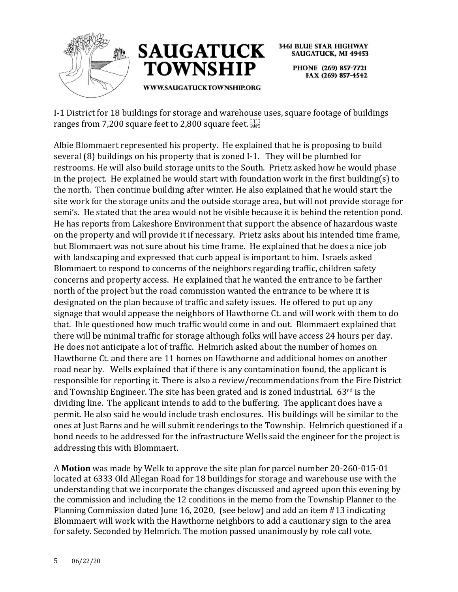



PHONE (269) 857-7721 FAX (269) 857-4542

I-1 District for 18 buildings for storage and warehouse uses, square footage of buildings ranges from 7,200 square feet to 2,800 square feet. see

Albie Blommaert represented his property. He explained that he is proposing to build several (8) buildings on his property that is zoned I-1. They will be plumbed for restrooms. He will also build storage units to the South. Prietz asked how he would phase in the project. He explained he would start with foundation work in the first building(s) to the north. Then continue building after winter. He also explained that he would start the site work for the storage units and the outside storage area, but will not provide storage for semi's. He stated that the area would not be visible because it is behind the retention pond. He has reports from Lakeshore Environment that support the absence of hazardous waste on the property and will provide it if necessary. Prietz asks about his intended time frame, but Blommaert was not sure about his time frame. He explained that he does a nice job with landscaping and expressed that curb appeal is important to him. Israels asked Blommaert to respond to concerns of the neighbors regarding traffic, children safety concerns and property access. He explained that he wanted the entrance to be farther north of the project but the road commission wanted the entrance to be where it is designated on the plan because of traffic and safety issues. He offered to put up any signage that would appease the neighbors of Hawthorne Ct. and will work with them to do that. Ihle questioned how much traffic would come in and out. Blommaert explained that there will be minimal traffic for storage although folks will have access 24 hours per day. He does not anticipate a lot of traffic. Helmrich asked about the number of homes on Hawthorne Ct. and there are 11 homes on Hawthorne and additional homes on another road near by. Wells explained that if there is any contamination found, the applicant is responsible for reporting it. There is also a review/recommendations from the Fire District and Township Engineer. The site has been grated and is zoned industrial. 63rd is the dividing line. The applicant intends to add to the buffering. The applicant does have a permit. He also said he would include trash enclosures. His buildings will be similar to the ones at Just Barns and he will submit renderings to the Township. Helmrich questioned if a bond needs to be addressed for the infrastructure Wells said the engineer for the project is addressing this with Blommaert.

A **Motion** was made by Welk to approve the site plan for parcel number 20-260-015-01 located at 6333 Old Allegan Road for 18 buildings for storage and warehouse use with the understanding that we incorporate the changes discussed and agreed upon this evening by the commission and including the 12 conditions in the memo from the Township Planner to the Planning Commission dated June 16, 2020, (see below) and add an item #13 indicating Blommaert will work with the Hawthorne neighbors to add a cautionary sign to the area for safety. Seconded by Helmrich. The motion passed unanimously by role call vote.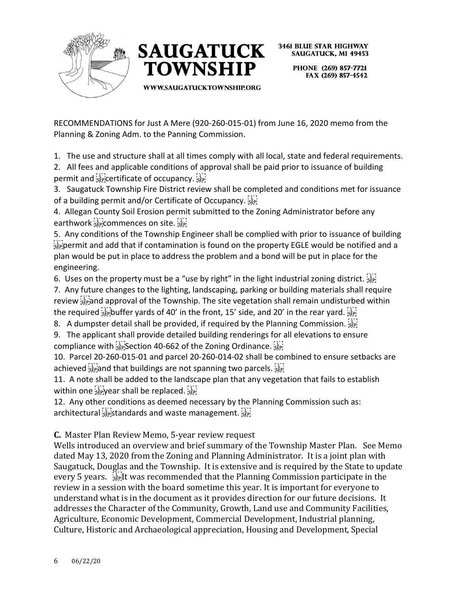



> PHONE (269) 857-7721 FAX (269) 857-4542

WWW.SAUGATUCKTOWNSHIP.ORG

RECOMMENDATIONS for Just A Mere (920-260-015-01) from June 16, 2020 memo from the Planning & Zoning Adm. to the Panning Commission.

1. The use and structure shall at all times comply with all local, state and federal requirements.

2. All fees and applicable conditions of approval shall be paid prior to issuance of building permit and sepicertificate of occupancy.

3. Saugatuck Township Fire District review shall be completed and conditions met for issuance of a building permit and/or Certificate of Occupancy.

4. Allegan County Soil Erosion permit submitted to the Zoning Administrator before any earthwork see commences on site.

5. Any conditions of the Township Engineer shall be complied with prior to issuance of building  $\frac{p-1}{p}$  permit and add that if contamination is found on the property EGLE would be notified and a plan would be put in place to address the problem and a bond will be put in place for the engineering.

6. Uses on the property must be a "use by right" in the light industrial zoning district.  $\frac{1}{2}$ 

7. Any future changes to the lighting, landscaping, parking or building materials shall require review  $\frac{1}{2}$  and approval of the Township. The site vegetation shall remain undisturbed within the required  $\Xi_{\text{sep}}$  buffer yards of 40' in the front, 15' side, and 20' in the rear yard.  $\Xi_{\text{sep}}$ 

8. A dumpster detail shall be provided, if required by the Planning Commission.  $\frac{1}{15}$ 

9. The applicant shall provide detailed building renderings for all elevations to ensure compliance with step Section 40-662 of the Zoning Ordinance.

10. Parcel 20-260-015-01 and parcel 20-260-014-02 shall be combined to ensure setbacks are achieved  $\frac{1}{3}$  and that buildings are not spanning two parcels.  $\frac{1}{3}$ 

11. A note shall be added to the landscape plan that any vegetation that fails to establish within one  $s_{\text{sep}}^{[1]}$  year shall be replaced.  $s_{\text{sep}}^{[1]}$ 

12. Any other conditions as deemed necessary by the Planning Commission such as: architectural standards and waste management.

**C.** Master Plan Review Memo, 5-year review request

Wells introduced an overview and brief summary of the Township Master Plan. See Memo dated May 13, 2020 from the Zoning and Planning Administrator. It is a joint plan with Saugatuck, Douglas and the Township. It is extensive and is required by the State to update every 5 years.  $\frac{1}{3}$  It was recommended that the Planning Commission participate in the review in a session with the board sometime this year. It is important for everyone to understand what is in the document as it provides direction for our future decisions. It addresses the Character of the Community, Growth, Land use and Community Facilities, Agriculture, Economic Development, Commercial Development, Industrial planning, Culture, Historic and Archaeological appreciation, Housing and Development, Special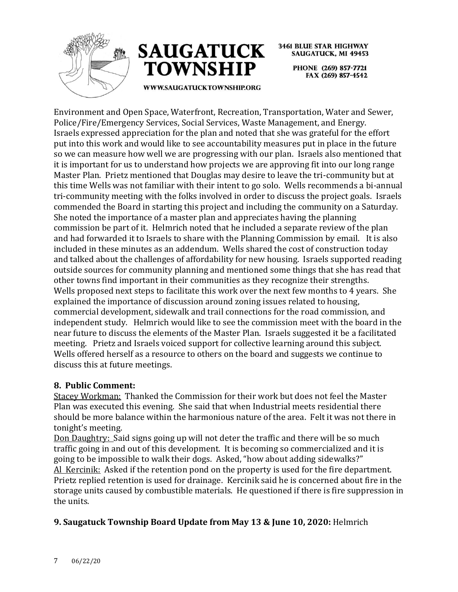



**3461 BLUE STAR HIGHWAY SAUGATUCK, MI 49453** PHONE (269) 857-7721 FAX (269) 857-4542

WWW.SAUGATUCKTOWNSHIP.ORG

Environment and Open Space, Waterfront, Recreation, Transportation, Water and Sewer, Police/Fire/Emergency Services, Social Services, Waste Management, and Energy. Israels expressed appreciation for the plan and noted that she was grateful for the effort put into this work and would like to see accountability measures put in place in the future so we can measure how well we are progressing with our plan. Israels also mentioned that it is important for us to understand how projects we are approving fit into our long range Master Plan. Prietz mentioned that Douglas may desire to leave the tri-community but at this time Wells was not familiar with their intent to go solo. Wells recommends a bi-annual tri-community meeting with the folks involved in order to discuss the project goals. Israels commended the Board in starting this project and including the community on a Saturday. She noted the importance of a master plan and appreciates having the planning commission be part of it. Helmrich noted that he included a separate review of the plan and had forwarded it to Israels to share with the Planning Commission by email. It is also included in these minutes as an addendum. Wells shared the cost of construction today and talked about the challenges of affordability for new housing. Israels supported reading outside sources for community planning and mentioned some things that she has read that other towns find important in their communities as they recognize their strengths. Wells proposed next steps to facilitate this work over the next few months to 4 years. She explained the importance of discussion around zoning issues related to housing, commercial development, sidewalk and trail connections for the road commission, and independent study. Helmrich would like to see the commission meet with the board in the near future to discuss the elements of the Master Plan. Israels suggested it be a facilitated meeting. Prietz and Israels voiced support for collective learning around this subject. Wells offered herself as a resource to others on the board and suggests we continue to discuss this at future meetings.

### **8. Public Comment:**

Stacey Workman: Thanked the Commission for their work but does not feel the Master Plan was executed this evening. She said that when Industrial meets residential there should be more balance within the harmonious nature of the area. Felt it was not there in tonight's meeting.

Don Daughtry: Said signs going up will not deter the traffic and there will be so much traffic going in and out of this development. It is becoming so commercialized and it is going to be impossible to walk their dogs. Asked, "how about adding sidewalks?" Al Kercinik: Asked if the retention pond on the property is used for the fire department. Prietz replied retention is used for drainage. Kercinik said he is concerned about fire in the storage units caused by combustible materials. He questioned if there is fire suppression in the units.

## **9. Saugatuck Township Board Update from May 13 & June 10, 2020:** Helmrich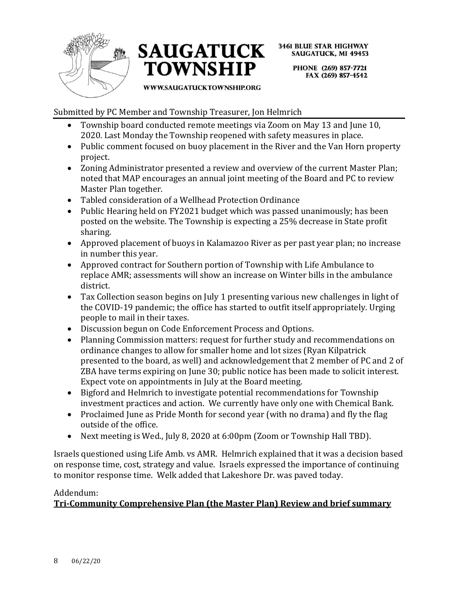



> PHONE (269) 857-7721 FAX (269) 857-4542

#### WWW.SAUGATUCKTOWNSHIP.ORG

Submitted by PC Member and Township Treasurer, Jon Helmrich

- Township board conducted remote meetings via Zoom on May 13 and June 10, 2020. Last Monday the Township reopened with safety measures in place.
- Public comment focused on buoy placement in the River and the Van Horn property project.
- Zoning Administrator presented a review and overview of the current Master Plan; noted that MAP encourages an annual joint meeting of the Board and PC to review Master Plan together.
- Tabled consideration of a Wellhead Protection Ordinance
- Public Hearing held on FY2021 budget which was passed unanimously; has been posted on the website. The Township is expecting a 25% decrease in State profit sharing.
- Approved placement of buoys in Kalamazoo River as per past year plan; no increase in number this year.
- Approved contract for Southern portion of Township with Life Ambulance to replace AMR; assessments will show an increase on Winter bills in the ambulance district.
- Tax Collection season begins on July 1 presenting various new challenges in light of the COVID-19 pandemic; the office has started to outfit itself appropriately. Urging people to mail in their taxes.
- Discussion begun on Code Enforcement Process and Options.
- Planning Commission matters: request for further study and recommendations on ordinance changes to allow for smaller home and lot sizes (Ryan Kilpatrick presented to the board, as well) and acknowledgement that 2 member of PC and 2 of ZBA have terms expiring on June 30; public notice has been made to solicit interest. Expect vote on appointments in July at the Board meeting.
- Bigford and Helmrich to investigate potential recommendations for Township investment practices and action. We currently have only one with Chemical Bank.
- Proclaimed June as Pride Month for second year (with no drama) and fly the flag outside of the office.
- Next meeting is Wed., July 8, 2020 at 6:00pm (Zoom or Township Hall TBD).

Israels questioned using Life Amb. vs AMR. Helmrich explained that it was a decision based on response time, cost, strategy and value. Israels expressed the importance of continuing to monitor response time. Welk added that Lakeshore Dr. was paved today.

### Addendum:

# **Tri-Community Comprehensive Plan (the Master Plan) Review and brief summary**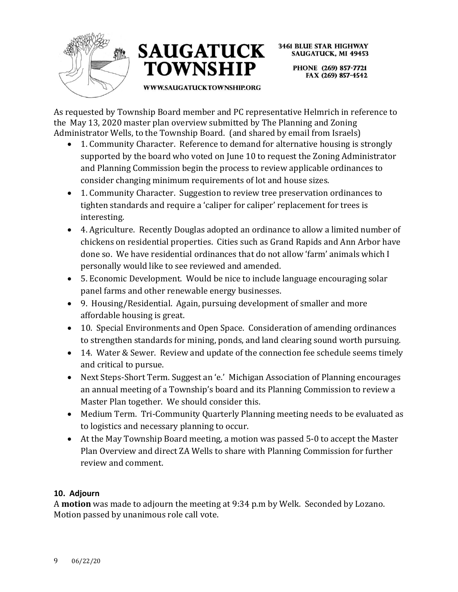



PHONE (269) 857-7721 FAX (269) 857-4542

**WWW.SAUGATUCKTOWNSHIP.ORG** 

As requested by Township Board member and PC representative Helmrich in reference to the May 13, 2020 master plan overview submitted by The Planning and Zoning Administrator Wells, to the Township Board. (and shared by email from Israels)

- 1. Community Character. Reference to demand for alternative housing is strongly supported by the board who voted on June 10 to request the Zoning Administrator and Planning Commission begin the process to review applicable ordinances to consider changing minimum requirements of lot and house sizes.
- 1. Community Character. Suggestion to review tree preservation ordinances to tighten standards and require a 'caliper for caliper' replacement for trees is interesting.
- 4. Agriculture. Recently Douglas adopted an ordinance to allow a limited number of chickens on residential properties. Cities such as Grand Rapids and Ann Arbor have done so. We have residential ordinances that do not allow 'farm' animals which I personally would like to see reviewed and amended.
- 5. Economic Development. Would be nice to include language encouraging solar panel farms and other renewable energy businesses.
- 9. Housing/Residential. Again, pursuing development of smaller and more affordable housing is great.
- 10. Special Environments and Open Space. Consideration of amending ordinances to strengthen standards for mining, ponds, and land clearing sound worth pursuing.
- 14. Water & Sewer. Review and update of the connection fee schedule seems timely and critical to pursue.
- Next Steps-Short Term. Suggest an 'e.' Michigan Association of Planning encourages an annual meeting of a Township's board and its Planning Commission to review a Master Plan together. We should consider this.
- Medium Term. Tri-Community Quarterly Planning meeting needs to be evaluated as to logistics and necessary planning to occur.
- At the May Township Board meeting, a motion was passed 5-0 to accept the Master Plan Overview and direct ZA Wells to share with Planning Commission for further review and comment.

# **10. Adjourn**

A **motion** was made to adjourn the meeting at 9:34 p.m by Welk. Seconded by Lozano. Motion passed by unanimous role call vote.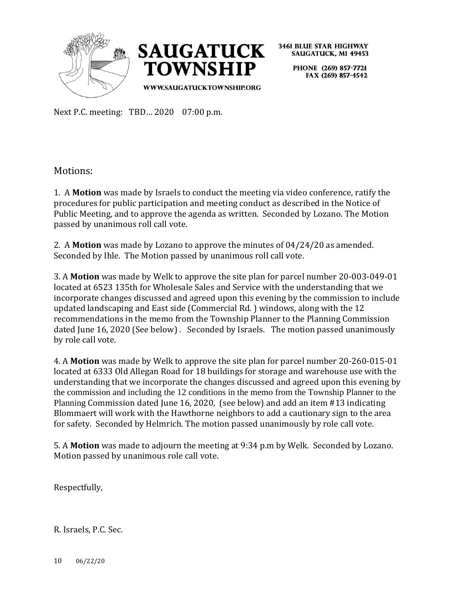



> PHONE (269) 857-7721 FAX (269) 857-4542

Next P.C. meeting: TBD… 2020 07:00 p.m.

Motions:

1. A **Motion** was made by Israels to conduct the meeting via video conference, ratify the procedures for public participation and meeting conduct as described in the Notice of Public Meeting, and to approve the agenda as written. Seconded by Lozano. The Motion passed by unanimous roll call vote.

2. A **Motion** was made by Lozano to approve the minutes of 04/24/20 as amended. Seconded by Ihle. The Motion passed by unanimous roll call vote.

3. A **Motion** was made by Welk to approve the site plan for parcel number 20-003-049-01 located at 6523 135th for Wholesale Sales and Service with the understanding that we incorporate changes discussed and agreed upon this evening by the commission to include updated landscaping and East side (Commercial Rd. ) windows, along with the 12 recommendations in the memo from the Township Planner to the Planning Commission dated June 16, 2020 (See below) . Seconded by Israels. The motion passed unanimously by role call vote.

4. A **Motion** was made by Welk to approve the site plan for parcel number 20-260-015-01 located at 6333 Old Allegan Road for 18 buildings for storage and warehouse use with the understanding that we incorporate the changes discussed and agreed upon this evening by the commission and including the 12 conditions in the memo from the Township Planner to the Planning Commission dated June 16, 2020, (see below) and add an item #13 indicating Blommaert will work with the Hawthorne neighbors to add a cautionary sign to the area for safety. Seconded by Helmrich. The motion passed unanimously by role call vote.

5. A **Motion** was made to adjourn the meeting at 9:34 p.m by Welk. Seconded by Lozano. Motion passed by unanimous role call vote.

Respectfully,

R. Israels, P.C. Sec.